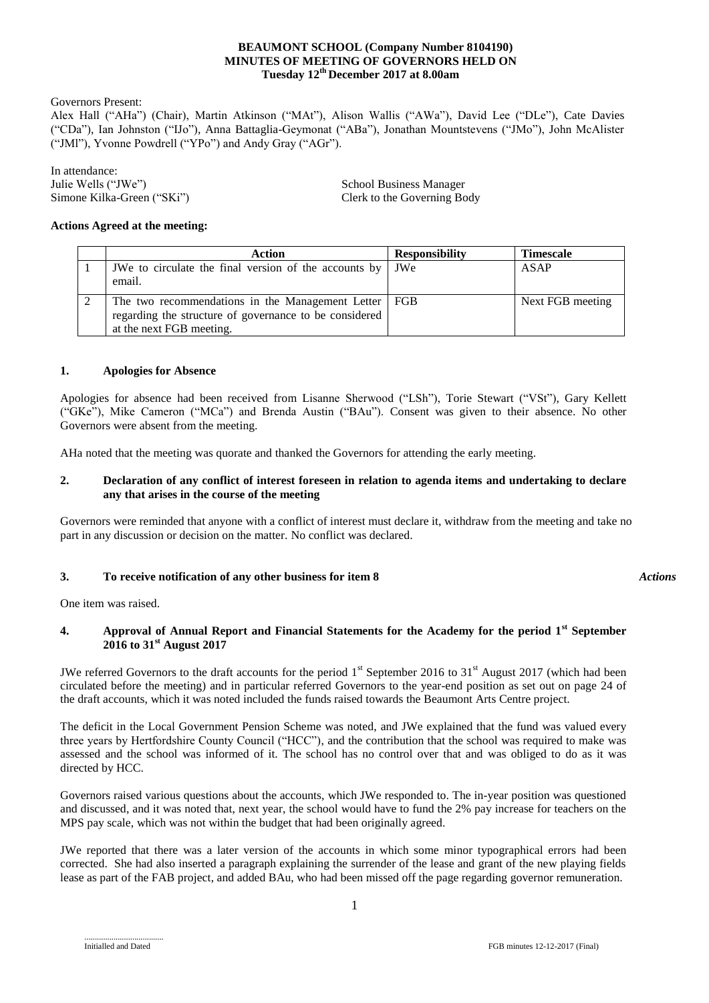#### **BEAUMONT SCHOOL (Company Number 8104190) MINUTES OF MEETING OF GOVERNORS HELD ON Tuesday 12 th December 2017 at 8.00am**

Governors Present:

Alex Hall ("AHa") (Chair), Martin Atkinson ("MAt"), Alison Wallis ("AWa"), David Lee ("DLe"), Cate Davies ("CDa"), Ian Johnston ("IJo"), Anna Battaglia-Geymonat ("ABa"), Jonathan Mountstevens ("JMo"), John McAlister ("JMl"), Yvonne Powdrell ("YPo") and Andy Gray ("AGr").

In attendance: Julie Wells ("JWe")<br>
School Business Manager<br>
Simone Kilka-Green ("SKi")<br>
School Business Manager<br>
Clerk to the Governing Bo

Clerk to the Governing Body

### **Actions Agreed at the meeting:**

| <b>Action</b>                                                                                                                                | <b>Responsibility</b> | <b>Timescale</b> |
|----------------------------------------------------------------------------------------------------------------------------------------------|-----------------------|------------------|
| JWe to circulate the final version of the accounts by<br>email.                                                                              | JWe                   | ASAP             |
| The two recommendations in the Management Letter   FGB<br>regarding the structure of governance to be considered<br>at the next FGB meeting. |                       | Next FGB meeting |

#### **1. Apologies for Absence**

Apologies for absence had been received from Lisanne Sherwood ("LSh"), Torie Stewart ("VSt"), Gary Kellett ("GKe"), Mike Cameron ("MCa") and Brenda Austin ("BAu"). Consent was given to their absence. No other Governors were absent from the meeting.

AHa noted that the meeting was quorate and thanked the Governors for attending the early meeting.

#### **2. Declaration of any conflict of interest foreseen in relation to agenda items and undertaking to declare any that arises in the course of the meeting**

Governors were reminded that anyone with a conflict of interest must declare it, withdraw from the meeting and take no part in any discussion or decision on the matter. No conflict was declared.

#### **3. To receive notification of any other business for item 8**

*Actions*

One item was raised.

## **4. Approval of Annual Report and Financial Statements for the Academy for the period 1st September 2016 to 31st August 2017**

JWe referred Governors to the draft accounts for the period  $1<sup>st</sup>$  September 2016 to 31<sup>st</sup> August 2017 (which had been circulated before the meeting) and in particular referred Governors to the year-end position as set out on page 24 of the draft accounts, which it was noted included the funds raised towards the Beaumont Arts Centre project.

The deficit in the Local Government Pension Scheme was noted, and JWe explained that the fund was valued every three years by Hertfordshire County Council ("HCC"), and the contribution that the school was required to make was assessed and the school was informed of it. The school has no control over that and was obliged to do as it was directed by HCC.

Governors raised various questions about the accounts, which JWe responded to. The in-year position was questioned and discussed, and it was noted that, next year, the school would have to fund the 2% pay increase for teachers on the MPS pay scale, which was not within the budget that had been originally agreed.

JWe reported that there was a later version of the accounts in which some minor typographical errors had been corrected. She had also inserted a paragraph explaining the surrender of the lease and grant of the new playing fields lease as part of the FAB project, and added BAu, who had been missed off the page regarding governor remuneration.